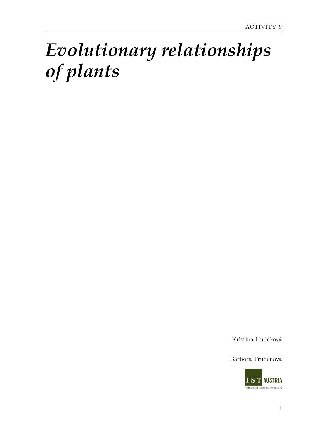# *Evolutionary relationships of plants*

Kristína Hudáková

Barbora Trubenová

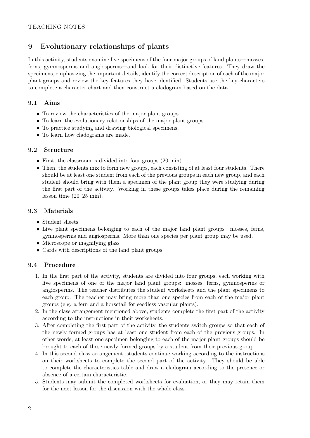# 9 Evolutionary relationships of plants

In this activity, students examine live specimens of the four major groups of land plants—mosses, ferns, gymnosperms and angiosperms—and look for their distinctive features. They draw the specimens, emphasizing the important details, identify the correct description of each of the major plant groups and review the key features they have identified. Students use the key characters to complete a character chart and then construct a cladogram based on the data.

## 9.1 Aims

- To review the characteristics of the major plant groups.
- To learn the evolutionary relationships of the major plant groups.
- To practice studying and drawing biological specimens.
- To learn how cladograms are made.

## 9.2 Structure

- First, the classroom is divided into four groups  $(20 \text{ min})$ .
- Then, the students mix to form new groups, each consisting of at least four students. There should be at least one student from each of the previous groups in each new group, and each student should bring with them a specimen of the plant group they were studying during the first part of the activity. Working in these groups takes place during the remaining lesson time (20–25 min).

## 9.3 Materials

- Student sheets
- Live plant specimens belonging to each of the major land plant groups—mosses, ferns, gymnosperms and angiosperms. More than one species per plant group may be used.
- Microscope or magnifying glass
- Cards with descriptions of the land plant groups

# 9.4 Procedure

- 1. In the first part of the activity, students are divided into four groups, each working with live specimens of one of the major land plant groups: mosses, ferns, gymnosperms or angiosperms. The teacher distributes the student worksheets and the plant specimens to each group. The teacher may bring more than one species from each of the major plant groups (e.g. a fern and a horsetail for seedless vascular plants).
- 2. In the class arrangement mentioned above, students complete the first part of the activity according to the instructions in their worksheets.
- 3. After completing the first part of the activity, the students switch groups so that each of the newly formed groups has at least one student from each of the previous groups. In other words, at least one specimen belonging to each of the major plant groups should be brought to each of these newly formed groups by a student from their previous group.
- 4. In this second class arrangement, students continue working according to the instructions on their worksheets to complete the second part of the activity. They should be able to complete the characteristics table and draw a cladogram according to the presence or absence of a certain characteristic.
- 5. Students may submit the completed worksheets for evaluation, or they may retain them for the next lesson for the discussion with the whole class.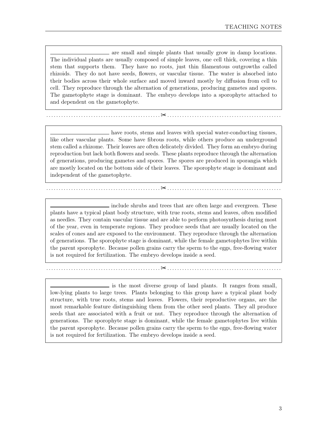are small and simple plants that usually grow in damp locations. The individual plants are usually composed of simple leaves, one cell thick, covering a thin stem that supports them. They have no roots, just thin filamentous outgrowths called rhizoids. They do not have seeds, flowers, or vascular tissue. The water is absorbed into their bodies across their whole surface and moved inward mostly by diffusion from cell to cell. They reproduce through the alternation of generations, producing gametes and spores. The gametophyte stage is dominant. The embryo develops into a sporophyte attached to and dependent on the gametophyte.

 $\approx$ 

. . . . . . . . . . . . . . . . . . . . . . . . . . . . . . . . . . . . . . . . . . . . . . ✂ . . . . . . . . . . . . . . . . . . . . . . . . . . . . . . . . . . . . . . . . . . . . . .

have roots, stems and leaves with special water-conducting tissues, like other vascular plants. Some have fibrous roots, while others produce an underground stem called a rhizome. Their leaves are often delicately divided. They form an embryo during reproduction but lack both flowers and seeds. These plants reproduce through the alternation of generations, producing gametes and spores. The spores are produced in sporangia which are mostly located on the bottom side of their leaves. The sporophyte stage is dominant and independent of the gametophyte.

include shrubs and trees that are often large and evergreen. These plants have a typical plant body structure, with true roots, stems and leaves, often modified as needles. They contain vascular tissue and are able to perform photosynthesis during most of the year, even in temperate regions. They produce seeds that are usually located on the scales of cones and are exposed to the environment. They reproduce through the alternation of generations. The sporophyte stage is dominant, while the female gametophytes live within the parent sporophyte. Because pollen grains carry the sperm to the eggs, free-flowing water is not required for fertilization. The embryo develops inside a seed.

. . . . . . . . . . . . . . . . . . . . . . . . . . . . . . . . . . . . . . . . . . . . . . ✂ . . . . . . . . . . . . . . . . . . . . . . . . . . . . . . . . . . . . . . . . . . . . . .

is the most diverse group of land plants. It ranges from small, low-lying plants to large trees. Plants belonging to this group have a typical plant body structure, with true roots, stems and leaves. Flowers, their reproductive organs, are the most remarkable feature distinguishing them from the other seed plants. They all produce seeds that are associated with a fruit or nut. They reproduce through the alternation of generations. The sporophyte stage is dominant, while the female gametophytes live within the parent sporophyte. Because pollen grains carry the sperm to the eggs, free-flowing water is not required for fertilization. The embryo develops inside a seed.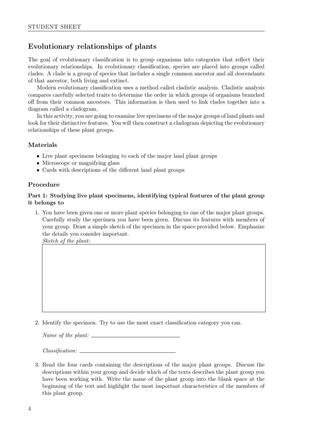# Evolutionary relationships of plants

The goal of evolutionary classification is to group organisms into categories that reflect their evolutionary relationships. In evolutionary classification, species are placed into groups called clades. A clade is a group of species that includes a single common ancestor and all descendants of that ancestor, both living and extinct.

Modern evolutionary classification uses a method called cladistic analysis. Cladistic analysis compares carefully selected traits to determine the order in which groups of organisms branched off from their common ancestors. This information is then used to link clades together into a diagram called a cladogram.

In this activity, you are going to examine live specimens of the major groups of land plants and look for their distinctive features. You will then construct a cladogram depicting the evolutionary relationships of these plant groups.

#### Materials

- Live plant specimens belonging to each of the major land plant groups
- Microscope or magnifying glass
- Cards with descriptions of the different land plant groups

#### Procedure

### Part 1: Studying live plant specimens, identifying typical features of the plant group it belongs to

1. You have been given one or more plant species belonging to one of the major plant groups. Carefully study the specimen you have been given. Discuss its features with members of your group. Draw a simple sketch of the specimen in the space provided below. Emphasize the details you consider important.

Sketch of the plant:

2. Identify the specimen. Try to use the most exact classification category you can.

Name of the plant:

 $Classification:$ 

3. Read the four cards containing the descriptions of the major plant groups. Discuss the descriptions within your group and decide which of the texts describes the plant group you have been working with. Write the name of the plant group into the blank space at the beginning of the text and highlight the most important characteristics of the members of this plant group.